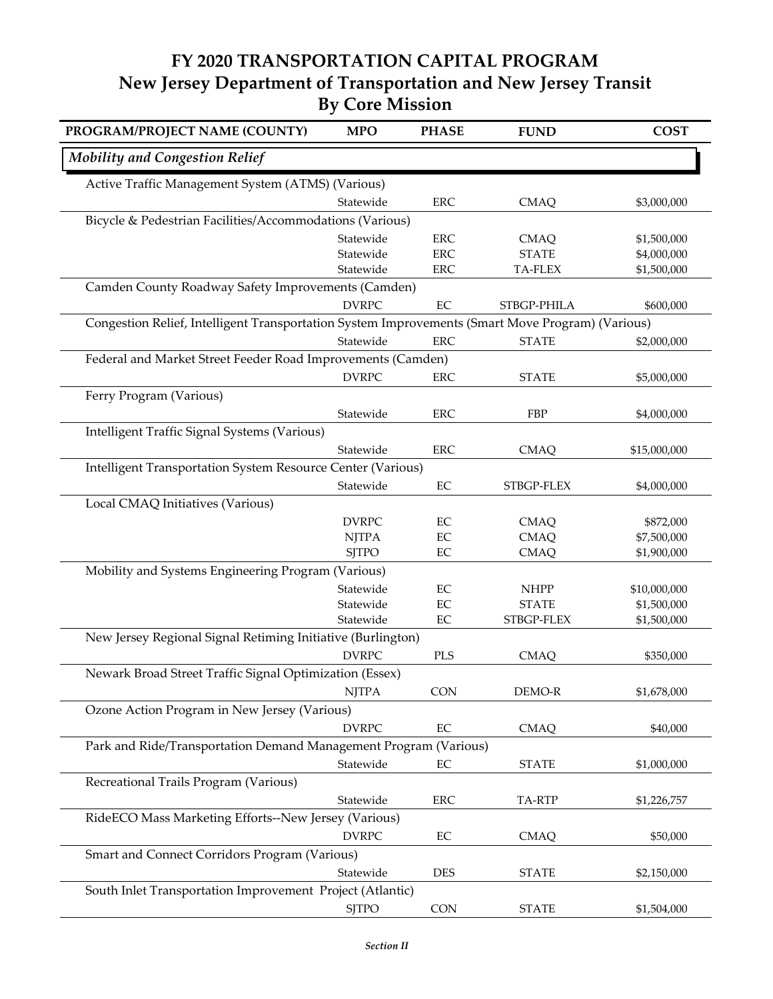## **FY 2020 TRANSPORTATION CAPITAL PROGRAM New Jersey Department of Transportation and New Jersey Transit By Core Mission**

| PROGRAM/PROJECT NAME (COUNTY)                                                                    | <b>MPO</b>             | <b>PHASE</b>   | <b>FUND</b>                | <b>COST</b>                |
|--------------------------------------------------------------------------------------------------|------------------------|----------------|----------------------------|----------------------------|
| <b>Mobility and Congestion Relief</b>                                                            |                        |                |                            |                            |
| Active Traffic Management System (ATMS) (Various)                                                |                        |                |                            |                            |
|                                                                                                  | Statewide              | ERC            | <b>CMAQ</b>                | \$3,000,000                |
| Bicycle & Pedestrian Facilities/Accommodations (Various)                                         |                        |                |                            |                            |
|                                                                                                  | Statewide              | <b>ERC</b>     | <b>CMAQ</b>                | \$1,500,000                |
|                                                                                                  | Statewide              | ${\rm ERC}$    | <b>STATE</b>               | \$4,000,000                |
|                                                                                                  | Statewide              | ERC            | <b>TA-FLEX</b>             | \$1,500,000                |
| Camden County Roadway Safety Improvements (Camden)                                               |                        |                |                            |                            |
|                                                                                                  | <b>DVRPC</b>           | $\rm EC$       | STBGP-PHILA                | \$600,000                  |
| Congestion Relief, Intelligent Transportation System Improvements (Smart Move Program) (Various) |                        |                |                            |                            |
|                                                                                                  | Statewide              | <b>ERC</b>     | <b>STATE</b>               | \$2,000,000                |
| Federal and Market Street Feeder Road Improvements (Camden)                                      |                        |                |                            |                            |
|                                                                                                  | <b>DVRPC</b>           | ERC            | <b>STATE</b>               | \$5,000,000                |
| Ferry Program (Various)                                                                          |                        |                |                            |                            |
|                                                                                                  | Statewide              | ${\rm ERC}$    | FBP                        | \$4,000,000                |
| Intelligent Traffic Signal Systems (Various)                                                     |                        |                |                            |                            |
|                                                                                                  | Statewide              | <b>ERC</b>     | <b>CMAQ</b>                | \$15,000,000               |
| Intelligent Transportation System Resource Center (Various)                                      |                        |                |                            |                            |
|                                                                                                  | Statewide              | $\rm EC$       |                            |                            |
|                                                                                                  |                        |                | STBGP-FLEX                 | \$4,000,000                |
| Local CMAQ Initiatives (Various)                                                                 |                        |                |                            |                            |
|                                                                                                  | <b>DVRPC</b>           | EC             | <b>CMAQ</b>                | \$872,000                  |
|                                                                                                  | <b>NJTPA</b>           | $\rm EC$       | <b>CMAQ</b>                | \$7,500,000                |
|                                                                                                  | <b>SJTPO</b>           | EC             | <b>CMAQ</b>                | \$1,900,000                |
| Mobility and Systems Engineering Program (Various)                                               |                        |                |                            |                            |
|                                                                                                  | Statewide              | $\rm EC$       | <b>NHPP</b>                | \$10,000,000               |
|                                                                                                  | Statewide<br>Statewide | EC<br>$\rm EC$ | <b>STATE</b><br>STBGP-FLEX | \$1,500,000<br>\$1,500,000 |
|                                                                                                  |                        |                |                            |                            |
| New Jersey Regional Signal Retiming Initiative (Burlington)                                      |                        |                |                            |                            |
|                                                                                                  | <b>DVRPC</b>           | PLS            | <b>CMAQ</b>                | \$350,000                  |
| Newark Broad Street Traffic Signal Optimization (Essex)                                          |                        |                |                            |                            |
|                                                                                                  | <b>NJTPA</b>           | CON            | DEMO-R                     | \$1,678,000                |
| Ozone Action Program in New Jersey (Various)                                                     |                        |                |                            |                            |
|                                                                                                  | <b>DVRPC</b>           | $\rm EC$       | <b>CMAQ</b>                | \$40,000                   |
| Park and Ride/Transportation Demand Management Program (Various)                                 |                        |                |                            |                            |
|                                                                                                  | Statewide              | $\rm EC$       | <b>STATE</b>               | \$1,000,000                |
| Recreational Trails Program (Various)                                                            |                        |                |                            |                            |
|                                                                                                  | Statewide              | ERC            | TA-RTP                     | \$1,226,757                |
| RideECO Mass Marketing Efforts--New Jersey (Various)                                             |                        |                |                            |                            |
|                                                                                                  | <b>DVRPC</b>           | $\rm EC$       | <b>CMAQ</b>                | \$50,000                   |
| Smart and Connect Corridors Program (Various)                                                    |                        |                |                            |                            |
|                                                                                                  | Statewide              | <b>DES</b>     | <b>STATE</b>               | \$2,150,000                |
| South Inlet Transportation Improvement Project (Atlantic)                                        |                        |                |                            |                            |
|                                                                                                  |                        |                |                            |                            |
|                                                                                                  | <b>SJTPO</b>           | <b>CON</b>     | <b>STATE</b>               | \$1,504,000                |